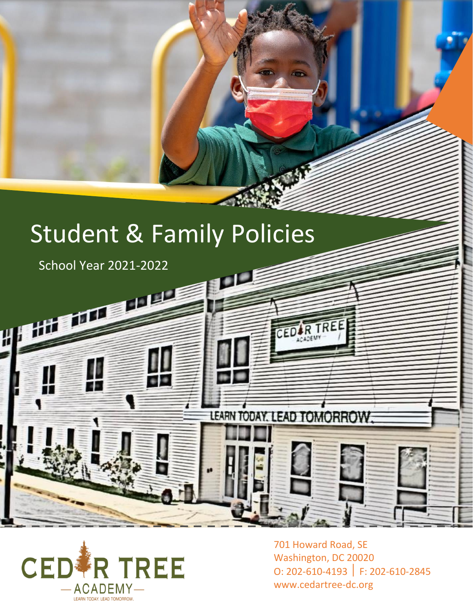# Student & Family Policies

ï

School Year 2021-2022



701 Howard Road, SE Washington, DC 20020 O: 202-610-4193 F: 202-610-2845 www.cedartree-dc.org

R TREE

n

LEARN TODAY, LEAD TOMORROW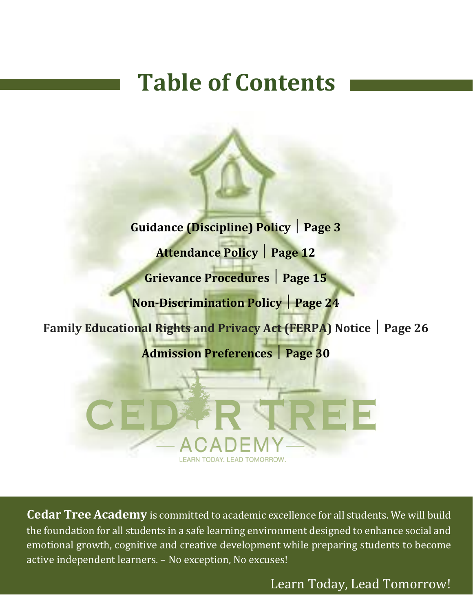# **Table of Contents**

**Guidance (Discipline) Policy Page 3 Attendance Policy Page 12 Grievance Procedures Page 15 Non-Discrimination Policy Page 24 Family Educational Rights and Privacy Act (FERPA) Notice Page 26 Admission Preferences Page 30**

**Cedar Tree Academy** is committed to academic excellence for all students. We will build the foundation for all students in a safe learning environment designed to enhance social and emotional growth, cognitive and creative development while preparing students to become active independent learners. – No exception, No excuses!

Learn Today, Lead Tomorrow!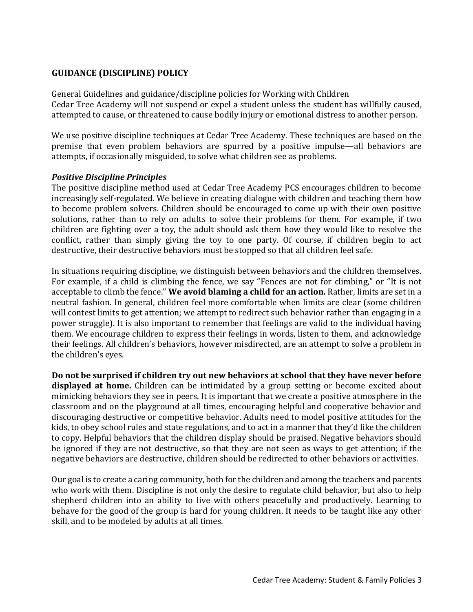# **GUIDANCE (DISCIPLINE) POLICY**

General Guidelines and guidance/discipline policies for Working with Children Cedar Tree Academy will not suspend or expel a student unless the student has willfully caused, attempted to cause, or threatened to cause bodily injury or emotional distress to another person.

We use positive discipline techniques at Cedar Tree Academy. These techniques are based on the premise that even problem behaviors are spurred by a positive impulse—all behaviors are attempts, if occasionally misguided, to solve what children see as problems.

## *Positive Discipline Principles*

The positive discipline method used at Cedar Tree Academy PCS encourages children to become increasingly self-regulated. We believe in creating dialogue with children and teaching them how to become problem solvers. Children should be encouraged to come up with their own positive solutions, rather than to rely on adults to solve their problems for them. For example, if two children are fighting over a toy, the adult should ask them how they would like to resolve the conflict, rather than simply giving the toy to one party. Of course, if children begin to act destructive, their destructive behaviors must be stopped so that all children feel safe.

In situations requiring discipline, we distinguish between behaviors and the children themselves. For example, if a child is climbing the fence, we say "Fences are not for climbing," or "It is not acceptable to climb the fence." **We avoid blaming a child for an action.** Rather, limits are set in a neutral fashion. In general, children feel more comfortable when limits are clear (some children will contest limits to get attention; we attempt to redirect such behavior rather than engaging in a power struggle). It is also important to remember that feelings are valid to the individual having them. We encourage children to express their feelings in words, listen to them, and acknowledge their feelings. All children's behaviors, however misdirected, are an attempt to solve a problem in the children's eyes.

**Do not be surprised if children try out new behaviors at school that they have never before displayed at home.** Children can be intimidated by a group setting or become excited about mimicking behaviors they see in peers. It is important that we create a positive atmosphere in the classroom and on the playground at all times, encouraging helpful and cooperative behavior and discouraging destructive or competitive behavior. Adults need to model positive attitudes for the kids, to obey school rules and state regulations, and to act in a manner that they'd like the children to copy. Helpful behaviors that the children display should be praised. Negative behaviors should be ignored if they are not destructive, so that they are not seen as ways to get attention; if the negative behaviors are destructive, children should be redirected to other behaviors or activities.

Our goal is to create a caring community, both for the children and among the teachers and parents who work with them. Discipline is not only the desire to regulate child behavior, but also to help shepherd children into an ability to live with others peacefully and productively. Learning to behave for the good of the group is hard for young children. It needs to be taught like any other skill, and to be modeled by adults at all times.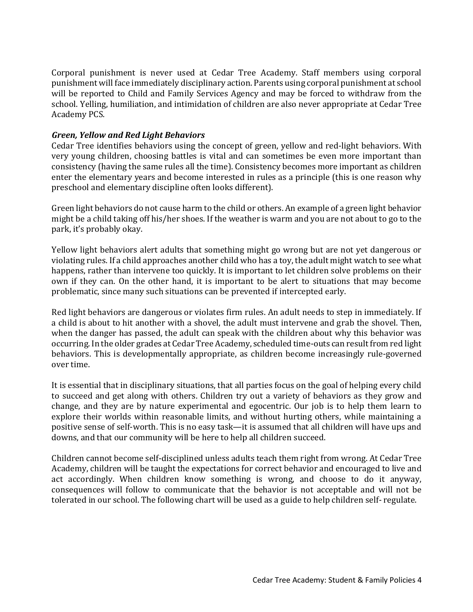Corporal punishment is never used at Cedar Tree Academy. Staff members using corporal punishment will face immediately disciplinary action. Parents using corporal punishment at school will be reported to Child and Family Services Agency and may be forced to withdraw from the school. Yelling, humiliation, and intimidation of children are also never appropriate at Cedar Tree Academy PCS.

## *Green, Yellow and Red Light Behaviors*

Cedar Tree identifies behaviors using the concept of green, yellow and red-light behaviors. With very young children, choosing battles is vital and can sometimes be even more important than consistency (having the same rules all the time). Consistency becomes more important as children enter the elementary years and become interested in rules as a principle (this is one reason why preschool and elementary discipline often looks different).

Green light behaviors do not cause harm to the child or others. An example of a green light behavior might be a child taking off his/her shoes. If the weather is warm and you are not about to go to the park, it's probably okay.

Yellow light behaviors alert adults that something might go wrong but are not yet dangerous or violating rules. If a child approaches another child who has a toy, the adult might watch to see what happens, rather than intervene too quickly. It is important to let children solve problems on their own if they can. On the other hand, it is important to be alert to situations that may become problematic, since many such situations can be prevented if intercepted early.

Red light behaviors are dangerous or violates firm rules. An adult needs to step in immediately. If a child is about to hit another with a shovel, the adult must intervene and grab the shovel. Then, when the danger has passed, the adult can speak with the children about why this behavior was occurring. In the older grades at Cedar Tree Academy, scheduled time-outs can result from red light behaviors. This is developmentally appropriate, as children become increasingly rule-governed over time.

It is essential that in disciplinary situations, that all parties focus on the goal of helping every child to succeed and get along with others. Children try out a variety of behaviors as they grow and change, and they are by nature experimental and egocentric. Our job is to help them learn to explore their worlds within reasonable limits, and without hurting others, while maintaining a positive sense of self-worth. This is no easy task—it is assumed that all children will have ups and downs, and that our community will be here to help all children succeed.

Children cannot become self-disciplined unless adults teach them right from wrong. At Cedar Tree Academy, children will be taught the expectations for correct behavior and encouraged to live and act accordingly. When children know something is wrong, and choose to do it anyway, consequences will follow to communicate that the behavior is not acceptable and will not be tolerated in our school. The following chart will be used as a guide to help children self- regulate.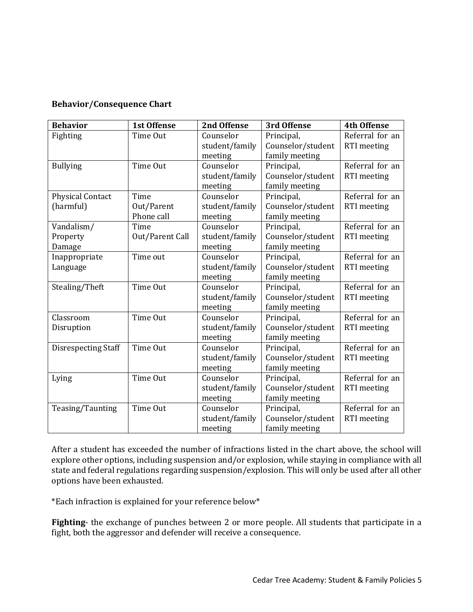## **Behavior/Consequence Chart**

| <b>Behavior</b>            | <b>1st Offense</b> | 2nd Offense    | 3rd Offense       | <b>4th Offense</b> |
|----------------------------|--------------------|----------------|-------------------|--------------------|
| Fighting                   | Time Out           | Counselor      | Principal,        | Referral for an    |
|                            |                    | student/family | Counselor/student | RTI meeting        |
|                            |                    | meeting        | family meeting    |                    |
| <b>Bullying</b>            | Time Out           | Counselor      | Principal,        | Referral for an    |
|                            |                    | student/family | Counselor/student | RTI meeting        |
|                            |                    | meeting        | family meeting    |                    |
| <b>Physical Contact</b>    | Time               | Counselor      | Principal,        | Referral for an    |
| (harmful)                  | Out/Parent         | student/family | Counselor/student | RTI meeting        |
|                            | Phone call         | meeting        | family meeting    |                    |
| Vandalism/                 | Time               | Counselor      | Principal,        | Referral for an    |
| Property                   | Out/Parent Call    | student/family | Counselor/student | RTI meeting        |
| Damage                     |                    | meeting        | family meeting    |                    |
| Inappropriate              | Time out           | Counselor      | Principal,        | Referral for an    |
| Language                   |                    | student/family | Counselor/student | RTI meeting        |
|                            |                    | meeting        | family meeting    |                    |
| Stealing/Theft             | Time Out           | Counselor      | Principal,        | Referral for an    |
|                            |                    | student/family | Counselor/student | RTI meeting        |
|                            |                    | meeting        | family meeting    |                    |
| Classroom                  | Time Out           | Counselor      | Principal,        | Referral for an    |
| Disruption                 |                    | student/family | Counselor/student | <b>RTI</b> meeting |
|                            |                    | meeting        | family meeting    |                    |
| <b>Disrespecting Staff</b> | Time Out           | Counselor      | Principal,        | Referral for an    |
|                            |                    | student/family | Counselor/student | RTI meeting        |
|                            |                    | meeting        | family meeting    |                    |
| Lying                      | Time Out           | Counselor      | Principal,        | Referral for an    |
|                            |                    | student/family | Counselor/student | RTI meeting        |
|                            |                    | meeting        | family meeting    |                    |
| Teasing/Taunting           | Time Out           | Counselor      | Principal,        | Referral for an    |
|                            |                    | student/family | Counselor/student | RTI meeting        |
|                            |                    | meeting        | family meeting    |                    |

After a student has exceeded the number of infractions listed in the chart above, the school will explore other options, including suspension and/or explosion, while staying in compliance with all state and federal regulations regarding suspension/explosion. This will only be used after all other options have been exhausted.

\*Each infraction is explained for your reference below\*

**Fighting**- the exchange of punches between 2 or more people. All students that participate in a fight, both the aggressor and defender will receive a consequence.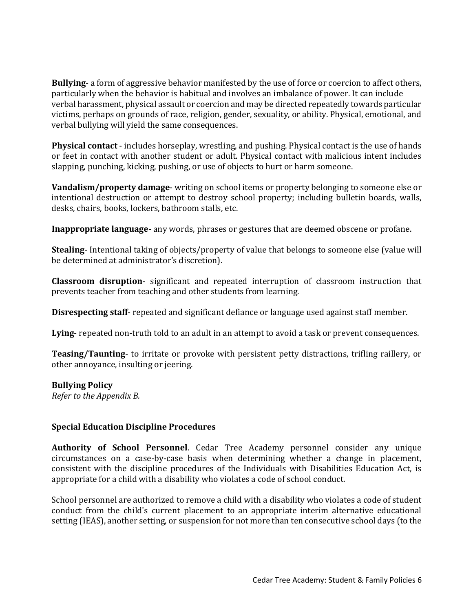**Bullying**- a form of aggressive behavior manifested by the use of force or coercion to affect others, particularly when the behavior is habitual and involves an imbalance of power. It can include verbal harassment, physical assault or coercion and may be directed repeatedly towards particular victims, perhaps on grounds of race, religion, gender, sexuality, or ability. Physical, emotional, and verbal bullying will yield the same consequences.

**Physical contact** - includes horseplay, wrestling, and pushing. Physical contact is the use of hands or feet in contact with another student or adult. Physical contact with malicious intent includes slapping, punching, kicking, pushing, or use of objects to hurt or harm someone.

**Vandalism/property damage**- writing on school items or property belonging to someone else or intentional destruction or attempt to destroy school property; including bulletin boards, walls, desks, chairs, books, lockers, bathroom stalls, etc.

**Inappropriate language**- any words, phrases or gestures that are deemed obscene or profane.

**Stealing**- Intentional taking of objects/property of value that belongs to someone else (value will be determined at administrator's discretion).

**Classroom disruption**- significant and repeated interruption of classroom instruction that prevents teacher from teaching and other students from learning.

**Disrespecting staff**- repeated and significant defiance or language used against staff member.

**Lying**- repeated non-truth told to an adult in an attempt to avoid a task or prevent consequences.

**Teasing/Taunting**- to irritate or provoke with persistent petty distractions, trifling raillery, or other annoyance, insulting or jeering.

## **Bullying Policy**

*Refer to the Appendix B.* 

## **Special Education Discipline Procedures**

**Authority of School Personnel**. Cedar Tree Academy personnel consider any unique circumstances on a case-by-case basis when determining whether a change in placement, consistent with the discipline procedures of the Individuals with Disabilities Education Act, is appropriate for a child with a disability who violates a code of school conduct.

School personnel are authorized to remove a child with a disability who violates a code of student conduct from the child's current placement to an appropriate interim alternative educational setting (IEAS), another setting, or suspension for not more than ten consecutive school days (to the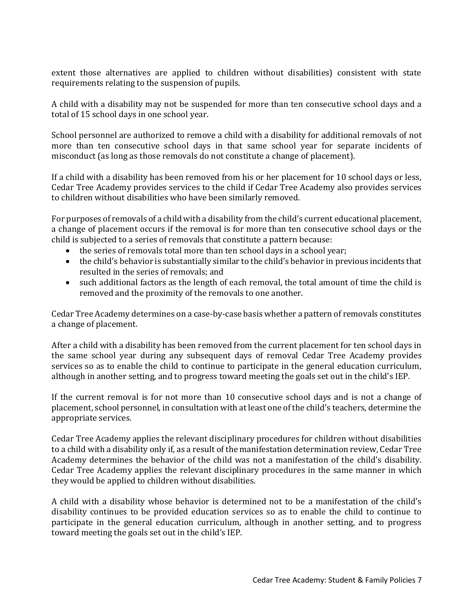extent those alternatives are applied to children without disabilities) consistent with state requirements relating to the suspension of pupils.

A child with a disability may not be suspended for more than ten consecutive school days and a total of 15 school days in one school year.

School personnel are authorized to remove a child with a disability for additional removals of not more than ten consecutive school days in that same school year for separate incidents of misconduct (as long as those removals do not constitute a change of placement).

If a child with a disability has been removed from his or her placement for 10 school days or less, Cedar Tree Academy provides services to the child if Cedar Tree Academy also provides services to children without disabilities who have been similarly removed.

For purposes of removals of a child with a disability from the child's current educational placement, a change of placement occurs if the removal is for more than ten consecutive school days or the child is subjected to a series of removals that constitute a pattern because:

- the series of removals total more than ten school days in a school year;
- the child's behavior is substantially similar to the child's behavior in previous incidents that resulted in the series of removals; and
- such additional factors as the length of each removal, the total amount of time the child is removed and the proximity of the removals to one another.

Cedar Tree Academy determines on a case-by-case basis whether a pattern of removals constitutes a change of placement.

After a child with a disability has been removed from the current placement for ten school days in the same school year during any subsequent days of removal Cedar Tree Academy provides services so as to enable the child to continue to participate in the general education curriculum, although in another setting, and to progress toward meeting the goals set out in the child's IEP.

If the current removal is for not more than 10 consecutive school days and is not a change of placement, school personnel, in consultation with at least one of the child's teachers, determine the appropriate services.

Cedar Tree Academy applies the relevant disciplinary procedures for children without disabilities to a child with a disability only if, as a result of the manifestation determination review, Cedar Tree Academy determines the behavior of the child was not a manifestation of the child's disability. Cedar Tree Academy applies the relevant disciplinary procedures in the same manner in which they would be applied to children without disabilities.

A child with a disability whose behavior is determined not to be a manifestation of the child's disability continues to be provided education services so as to enable the child to continue to participate in the general education curriculum, although in another setting, and to progress toward meeting the goals set out in the child's IEP.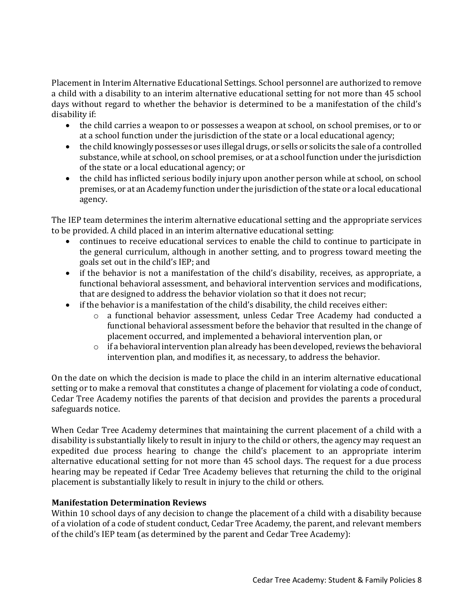Placement in Interim Alternative Educational Settings. School personnel are authorized to remove a child with a disability to an interim alternative educational setting for not more than 45 school days without regard to whether the behavior is determined to be a manifestation of the child's disability if:

- the child carries a weapon to or possesses a weapon at school, on school premises, or to or at a school function under the jurisdiction of the state or a local educational agency;
- the child knowingly possesses or uses illegal drugs, or sells or solicits the sale of a controlled substance, while at school, on school premises, or at a school function under the jurisdiction of the state or a local educational agency; or
- the child has inflicted serious bodily injury upon another person while at school, on school premises, or at an Academy function under the jurisdiction of the state or a local educational agency.

The IEP team determines the interim alternative educational setting and the appropriate services to be provided. A child placed in an interim alternative educational setting:

- continues to receive educational services to enable the child to continue to participate in the general curriculum, although in another setting, and to progress toward meeting the goals set out in the child's IEP; and
- if the behavior is not a manifestation of the child's disability, receives, as appropriate, a functional behavioral assessment, and behavioral intervention services and modifications, that are designed to address the behavior violation so that it does not recur;
- if the behavior is a manifestation of the child's disability, the child receives either:
	- o a functional behavior assessment, unless Cedar Tree Academy had conducted a functional behavioral assessment before the behavior that resulted in the change of placement occurred, and implemented a behavioral intervention plan, or
	- $\circ$  if a behavioral intervention plan already has been developed, reviews the behavioral intervention plan, and modifies it, as necessary, to address the behavior.

On the date on which the decision is made to place the child in an interim alternative educational setting or to make a removal that constitutes a change of placement for violating a code of conduct, Cedar Tree Academy notifies the parents of that decision and provides the parents a procedural safeguards notice.

When Cedar Tree Academy determines that maintaining the current placement of a child with a disability is substantially likely to result in injury to the child or others, the agency may request an expedited due process hearing to change the child's placement to an appropriate interim alternative educational setting for not more than 45 school days. The request for a due process hearing may be repeated if Cedar Tree Academy believes that returning the child to the original placement is substantially likely to result in injury to the child or others.

# **Manifestation Determination Reviews**

Within 10 school days of any decision to change the placement of a child with a disability because of a violation of a code of student conduct, Cedar Tree Academy, the parent, and relevant members of the child's IEP team (as determined by the parent and Cedar Tree Academy):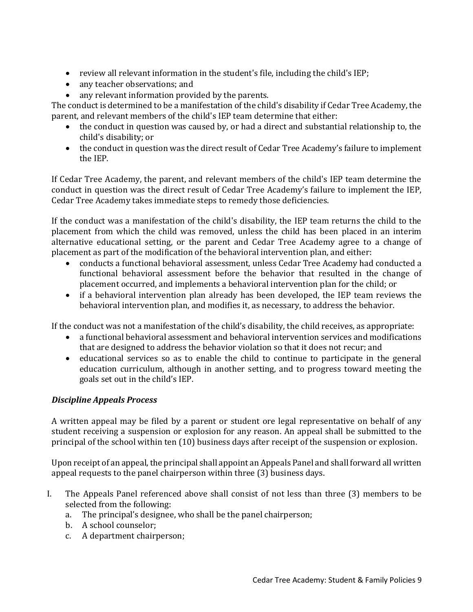- review all relevant information in the student's file, including the child's IEP;
- any teacher observations; and
- any relevant information provided by the parents.

The conduct is determined to be a manifestation of the child's disability if Cedar Tree Academy, the parent, and relevant members of the child's IEP team determine that either:

- the conduct in question was caused by, or had a direct and substantial relationship to, the child's disability; or
- the conduct in question was the direct result of Cedar Tree Academy's failure to implement the IEP.

If Cedar Tree Academy, the parent, and relevant members of the child's IEP team determine the conduct in question was the direct result of Cedar Tree Academy's failure to implement the IEP, Cedar Tree Academy takes immediate steps to remedy those deficiencies.

If the conduct was a manifestation of the child's disability, the IEP team returns the child to the placement from which the child was removed, unless the child has been placed in an interim alternative educational setting, or the parent and Cedar Tree Academy agree to a change of placement as part of the modification of the behavioral intervention plan, and either:

- conducts a functional behavioral assessment, unless Cedar Tree Academy had conducted a functional behavioral assessment before the behavior that resulted in the change of placement occurred, and implements a behavioral intervention plan for the child; or
- if a behavioral intervention plan already has been developed, the IEP team reviews the behavioral intervention plan, and modifies it, as necessary, to address the behavior.

If the conduct was not a manifestation of the child's disability, the child receives, as appropriate:

- a functional behavioral assessment and behavioral intervention services and modifications that are designed to address the behavior violation so that it does not recur; and
- educational services so as to enable the child to continue to participate in the general education curriculum, although in another setting, and to progress toward meeting the goals set out in the child's IEP.

# *Discipline Appeals Process*

A written appeal may be filed by a parent or student ore legal representative on behalf of any student receiving a suspension or explosion for any reason. An appeal shall be submitted to the principal of the school within ten (10) business days after receipt of the suspension or explosion.

Upon receipt of an appeal, the principal shall appoint an Appeals Panel and shall forward all written appeal requests to the panel chairperson within three (3) business days.

- I. The Appeals Panel referenced above shall consist of not less than three (3) members to be selected from the following:
	- a. The principal's designee, who shall be the panel chairperson;
	- b. A school counselor;
	- c. A department chairperson;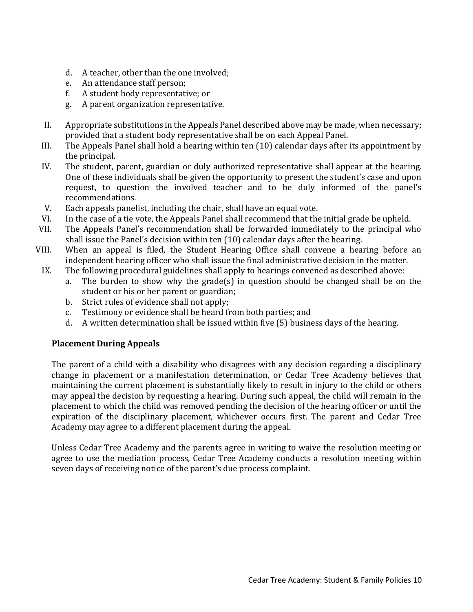- d. A teacher, other than the one involved;
- e. An attendance staff person;
- f. A student body representative; or
- g. A parent organization representative.
- II. Appropriate substitutions in the Appeals Panel described above may be made, when necessary; provided that a student body representative shall be on each Appeal Panel.
- III. The Appeals Panel shall hold a hearing within ten (10) calendar days after its appointment by the principal.
- IV. The student, parent, guardian or duly authorized representative shall appear at the hearing. One of these individuals shall be given the opportunity to present the student's case and upon request, to question the involved teacher and to be duly informed of the panel's recommendations.
- V. Each appeals panelist, including the chair, shall have an equal vote.
- VI. In the case of a tie vote, the Appeals Panel shall recommend that the initial grade be upheld.
- VII. The Appeals Panel's recommendation shall be forwarded immediately to the principal who shall issue the Panel's decision within ten (10) calendar days after the hearing.
- VIII. When an appeal is filed, the Student Hearing Office shall convene a hearing before an independent hearing officer who shall issue the final administrative decision in the matter.
- IX. The following procedural guidelines shall apply to hearings convened as described above:
	- a. The burden to show why the grade(s) in question should be changed shall be on the student or his or her parent or guardian;
	- b. Strict rules of evidence shall not apply;
	- c. Testimony or evidence shall be heard from both parties; and
	- d. A written determination shall be issued within five (5) business days of the hearing.

# **Placement During Appeals**

The parent of a child with a disability who disagrees with any decision regarding a disciplinary change in placement or a manifestation determination, or Cedar Tree Academy believes that maintaining the current placement is substantially likely to result in injury to the child or others may appeal the decision by requesting a hearing. During such appeal, the child will remain in the placement to which the child was removed pending the decision of the hearing officer or until the expiration of the disciplinary placement, whichever occurs first. The parent and Cedar Tree Academy may agree to a different placement during the appeal.

Unless Cedar Tree Academy and the parents agree in writing to waive the resolution meeting or agree to use the mediation process, Cedar Tree Academy conducts a resolution meeting within seven days of receiving notice of the parent's due process complaint.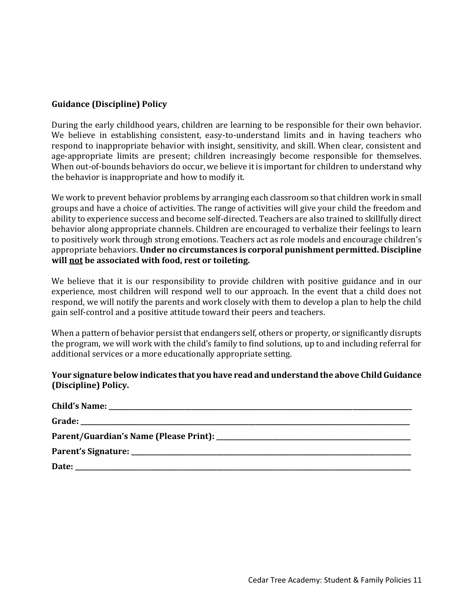# **Guidance (Discipline) Policy**

During the early childhood years, children are learning to be responsible for their own behavior. We believe in establishing consistent, easy-to-understand limits and in having teachers who respond to inappropriate behavior with insight, sensitivity, and skill. When clear, consistent and age-appropriate limits are present; children increasingly become responsible for themselves. When out-of-bounds behaviors do occur, we believe it is important for children to understand why the behavior is inappropriate and how to modify it.

We work to prevent behavior problems by arranging each classroom so that children work in small groups and have a choice of activities. The range of activities will give your child the freedom and ability to experience success and become self-directed. Teachers are also trained to skillfully direct behavior along appropriate channels. Children are encouraged to verbalize their feelings to learn to positively work through strong emotions. Teachers act as role models and encourage children's appropriate behaviors. **Under no circumstances is corporal punishment permitted. Discipline will not be associated with food, rest or toileting.** 

We believe that it is our responsibility to provide children with positive guidance and in our experience, most children will respond well to our approach. In the event that a child does not respond, we will notify the parents and work closely with them to develop a plan to help the child gain self-control and a positive attitude toward their peers and teachers.

When a pattern of behavior persist that endangers self, others or property, or significantly disrupts the program, we will work with the child's family to find solutions, up to and including referral for additional services or a more educationally appropriate setting.

## **Your signature below indicates that you have read and understand the above Child Guidance (Discipline) Policy.**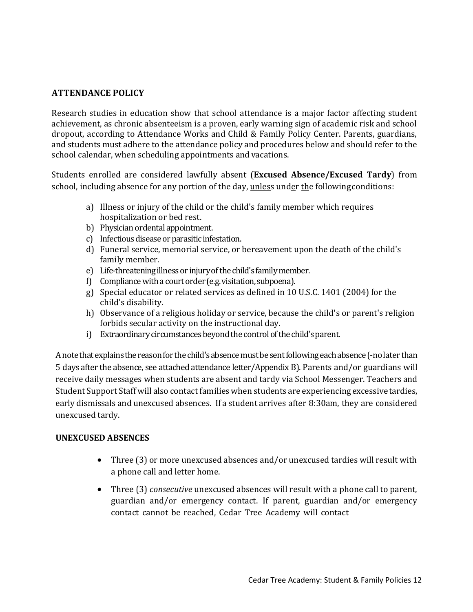# **ATTENDANCE POLICY**

Research studies in education show that school attendance is a major factor affecting student achievement, as chronic absenteeism is a proven, early warning sign of academic risk and school dropout, according to Attendance Works and Child & Family Policy Center. Parents, guardians, and students must adhere to the attendance policy and procedures below and should refer to the school calendar, when scheduling appointments and vacations.

Students enrolled are considered lawfully absent (**Excused Absence/Excused Tardy**) from school, including absence for any portion of the day, unless under the following conditions:

- a) Illness or injury of the child or the child's family member which requires hospitalization or bed rest.
- b) Physician ordental appointment.
- c) Infectious disease or parasitic infestation.
- d) Funeral service, memorial service, or bereavement upon the death of the child's family member.
- e) Life-threateningillnessor injuryofthechild'sfamilymember.
- f) Compliance with a court order (e.g. visitation, subpoena).
- g) Special educator or related services as defined in 10 U.S.C. 1401 (2004) for the child's disability.
- h) Observance of a religious holiday or service, because the child's or parent's religion forbids secular activity on the instructional day.
- i) Extraordinary circumstances beyond the control of the child's parent.

A note that explains the reason for the child's absence must be sent following each absence (-no later than 5 days after the absence, see attached attendance letter/Appendix B). Parents and/or guardians will receive daily messages when students are absent and tardy via School Messenger. Teachers and Student Support Staff will also contact families when students are experiencing excessive tardies, early dismissals and unexcused absences. If a student arrives after 8:30am, they are considered unexcused tardy.

## **UNEXCUSED ABSENCES**

- Three (3) or more unexcused absences and/or unexcused tardies will result with a phone call and letter home.
- Three (3) *consecutive* unexcused absences will result with a phone call to parent, guardian and/or emergency contact. If parent, guardian and/or emergency contact cannot be reached, Cedar Tree Academy will contact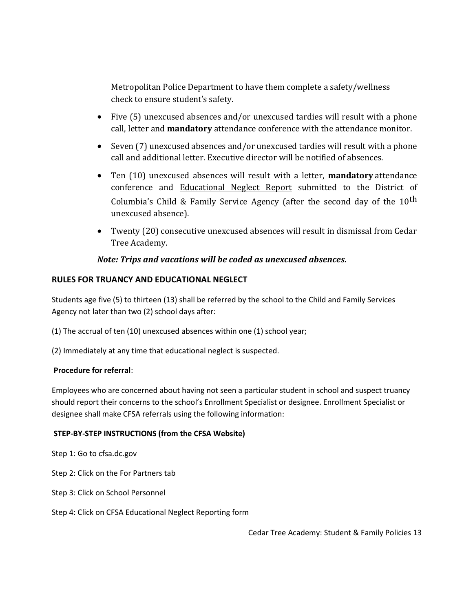Metropolitan Police Department to have them complete a safety/wellness check to ensure student's safety.

- Five (5) unexcused absences and/or unexcused tardies will result with a phone call, letter and **mandatory** attendance conference with the attendance monitor.
- Seven (7) unexcused absences and/or unexcused tardies will result with a phone call and additional letter. Executive director will be notified of absences.
- Ten (10) unexcused absences will result with a letter, **mandatory** attendance conference and Educational Neglect Report submitted to the District of Columbia's Child & Family Service Agency (after the second day of the  $10<sup>th</sup>$ unexcused absence).
- Twenty (20) consecutive unexcused absences will result in dismissal from Cedar Tree Academy.

# *Note: Trips and vacations will be coded as unexcused absences.*

## **RULES FOR TRUANCY AND EDUCATIONAL NEGLECT**

Students age five (5) to thirteen (13) shall be referred by the school to the Child and Family Services Agency not later than two (2) school days after:

(1) The accrual of ten (10) unexcused absences within one (1) school year;

(2) Immediately at any time that educational neglect is suspected.

## **Procedure for referral**:

Employees who are concerned about having not seen a particular student in school and suspect truancy should report their concerns to the school's Enrollment Specialist or designee. Enrollment Specialist or designee shall make CFSA referrals using the following information:

#### **STEP-BY-STEP INSTRUCTIONS (from the CFSA Website)**

Step 1: Go to cfsa.dc.gov

Step 2: Click on the For Partners tab

- Step 3: Click on School Personnel
- Step 4: Click on CFSA Educational Neglect Reporting form

Cedar Tree Academy: Student & Family Policies 13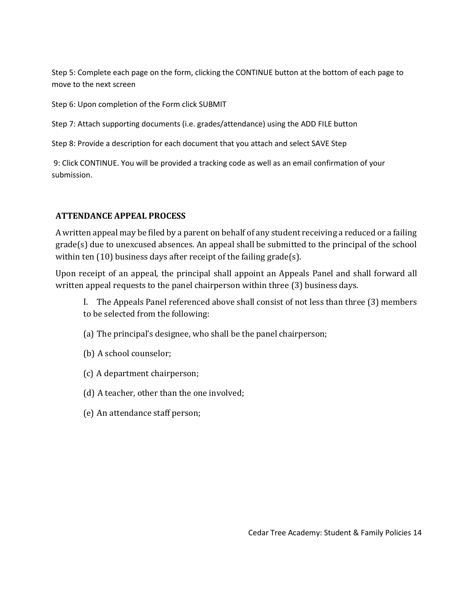Step 5: Complete each page on the form, clicking the CONTINUE button at the bottom of each page to move to the next screen

Step 6: Upon completion of the Form click SUBMIT

Step 7: Attach supporting documents (i.e. grades/attendance) using the ADD FILE button

Step 8: Provide a description for each document that you attach and select SAVE Step

9: Click CONTINUE. You will be provided a tracking code as well as an email confirmation of your submission.

# **ATTENDANCE APPEAL PROCESS**

A written appeal may be filed by a parent on behalf of any student receiving a reduced or a failing grade(s) due to unexcused absences. An appeal shall be submitted to the principal of the school within ten (10) business days after receipt of the failing grade(s).

Upon receipt of an appeal, the principal shall appoint an Appeals Panel and shall forward all written appeal requests to the panel chairperson within three (3) business days.

I. The Appeals Panel referenced above shall consist of not less than three (3) members to be selected from the following:

- (a) The principal's designee, who shall be the panel chairperson;
- (b) A school counselor;
- (c) A department chairperson;
- (d) A teacher, other than the one involved;
- (e) An attendance staff person;

Cedar Tree Academy: Student & Family Policies 14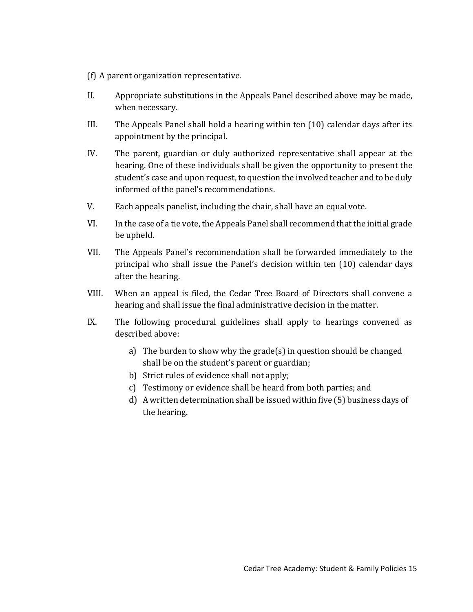- (f) A parent organization representative.
- II. Appropriate substitutions in the Appeals Panel described above may be made, when necessary.
- III. The Appeals Panel shall hold a hearing within ten (10) calendar days after its appointment by the principal.
- IV. The parent, guardian or duly authorized representative shall appear at the hearing. One of these individuals shall be given the opportunity to present the student's case and upon request, to question the involved teacher and to be duly informed of the panel's recommendations.
- V. Each appeals panelist, including the chair, shall have an equal vote.
- VI. In the case of a tie vote, the Appeals Panel shall recommend that the initial grade be upheld.
- VII. The Appeals Panel's recommendation shall be forwarded immediately to the principal who shall issue the Panel's decision within ten (10) calendar days after the hearing.
- VIII. When an appeal is filed, the Cedar Tree Board of Directors shall convene a hearing and shall issue the final administrative decision in the matter.
- IX. The following procedural guidelines shall apply to hearings convened as described above:
	- a) The burden to show why the grade(s) in question should be changed shall be on the student's parent or guardian;
	- b) Strict rules of evidence shall not apply;
	- c) Testimony or evidence shall be heard from both parties; and
	- d) A written determination shall be issued within five (5) business days of the hearing.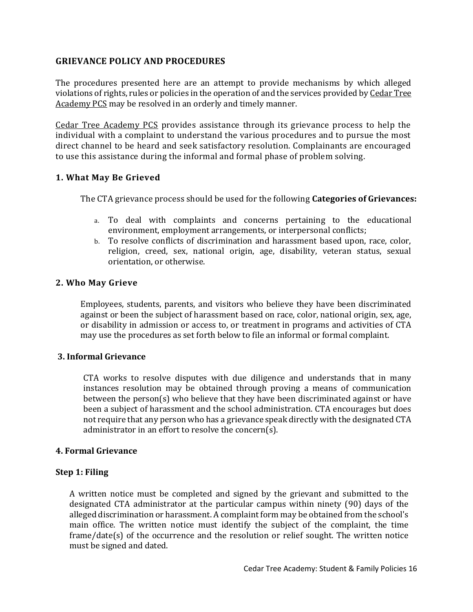## **GRIEVANCE POLICY AND PROCEDURES**

The procedures presented here are an attempt to provide mechanisms by which alleged violations of rights, rules or policies in the operation of and the services provided by Cedar Tree Academy PCS may be resolved in an orderly and timely manner.

Cedar Tree Academy PCS provides assistance through its grievance process to help the individual with a complaint to understand the various procedures and to pursue the most direct channel to be heard and seek satisfactory resolution. Complainants are encouraged to use this assistance during the informal and formal phase of problem solving.

## **1. What May Be Grieved**

The CTA grievance process should be used for the following **Categories of Grievances:**

- a. To deal with complaints and concerns pertaining to the educational environment, employment arrangements, or interpersonal conflicts;
- b. To resolve conflicts of discrimination and harassment based upon, race, color, religion, creed, sex, national origin, age, disability, veteran status, sexual orientation, or otherwise.

### **2. Who May Grieve**

Employees, students, parents, and visitors who believe they have been discriminated against or been the subject of harassment based on race, color, national origin, sex, age, or disability in admission or access to, or treatment in programs and activities of CTA may use the procedures as set forth below to file an informal or formal complaint.

#### **3. Informal Grievance**

CTA works to resolve disputes with due diligence and understands that in many instances resolution may be obtained through proving a means of communication between the person(s) who believe that they have been discriminated against or have been a subject of harassment and the school administration. CTA encourages but does not require that any person who has a grievance speak directly with the designated CTA administrator in an effort to resolve the concern(s).

#### **4. Formal Grievance**

#### **Step 1: Filing**

A written notice must be completed and signed by the grievant and submitted to the designated CTA administrator at the particular campus within ninety (90) days of the alleged discrimination or harassment. A complaint form may be obtained from the school's main office. The written notice must identify the subject of the complaint, the time frame/date(s) of the occurrence and the resolution or relief sought. The written notice must be signed and dated.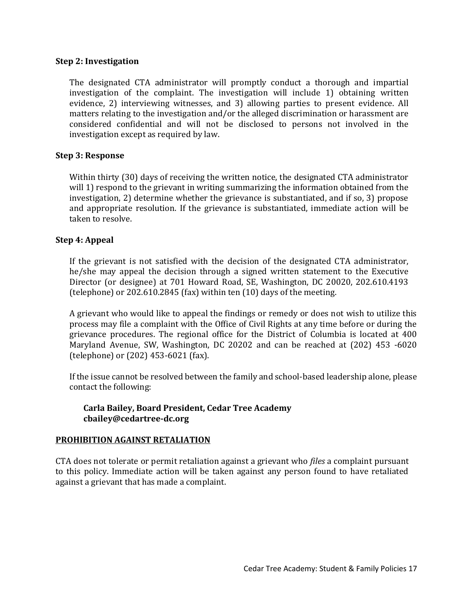## **Step 2: Investigation**

The designated CTA administrator will promptly conduct a thorough and impartial investigation of the complaint. The investigation will include 1) obtaining written evidence, 2) interviewing witnesses, and 3) allowing parties to present evidence. All matters relating to the investigation and/or the alleged discrimination or harassment are considered confidential and will not be disclosed to persons not involved in the investigation except as required by law.

## **Step 3: Response**

Within thirty (30) days of receiving the written notice, the designated CTA administrator will 1) respond to the grievant in writing summarizing the information obtained from the investigation, 2) determine whether the grievance is substantiated, and if so, 3) propose and appropriate resolution. If the grievance is substantiated, immediate action will be taken to resolve.

### **Step 4: Appeal**

If the grievant is not satisfied with the decision of the designated CTA administrator, he/she may appeal the decision through a signed written statement to the Executive Director (or designee) at 701 Howard Road, SE, Washington, DC 20020, 202.610.4193 (telephone) or 202.610.2845 (fax) within ten (10) days of the meeting.

A grievant who would like to appeal the findings or remedy or does not wish to utilize this process may file a complaint with the Office of Civil Rights at any time before or during the grievance procedures. The regional office for the District of Columbia is located at 400 Maryland Avenue, SW, Washington, DC 20202 and can be reached at (202) 453 -6020 (telephone) or (202) 453-6021 (fax).

If the issue cannot be resolved between the family and school-based leadership alone, please contact the following:

## **Carla Bailey, Board President, Cedar Tree Academy cbailey@cedartree-dc.org**

#### **PROHIBITION AGAINST RETALIATION**

CTA does not tolerate or permit retaliation against a grievant who *files* a complaint pursuant to this policy. Immediate action will be taken against any person found to have retaliated against a grievant that has made a complaint.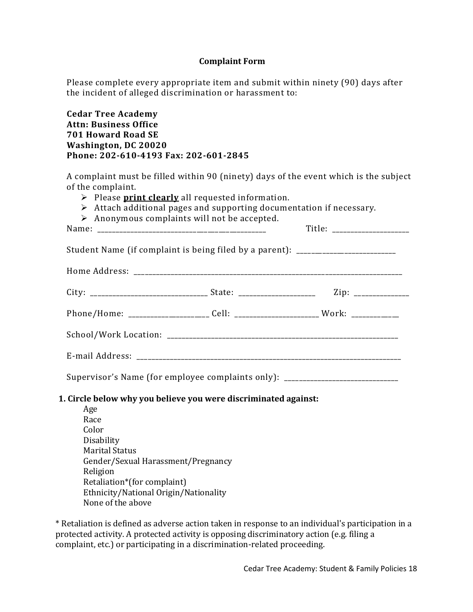## **Complaint Form**

Please complete every appropriate item and submit within ninety (90) days after the incident of alleged discrimination or harassment to:

**Cedar Tree Academy Attn: Business Office 701 Howard Road SE Washington, DC 20020 Phone: 202-610-4193 Fax: 202-601-2845**

A complaint must be filled within 90 (ninety) days of the event which is the subject of the complaint.

- ➢ Please **print clearly** all requested information.
- ➢ Attach additional pages and supporting documentation if necessary.
- $\triangleright$  Anonymous complaints will not be accepted.

Name: \_\_\_\_\_\_\_\_\_\_\_\_\_\_\_\_\_\_\_\_\_\_\_\_\_\_\_\_\_\_\_\_\_\_\_\_\_\_\_\_\_\_\_\_\_\_ Title: \_\_\_\_\_\_\_\_\_\_\_\_\_\_\_\_\_\_\_\_\_

Student Name (if complaint is being filed by a parent): \_\_\_\_\_\_\_\_\_\_\_\_\_\_\_\_\_\_\_\_\_\_\_\_ Home Address: \_\_\_\_\_\_\_\_\_\_\_\_\_\_\_\_\_\_\_\_\_\_\_\_\_\_\_\_\_\_\_\_\_\_\_\_\_\_\_\_\_\_\_\_\_\_\_\_\_\_\_\_\_\_\_\_\_\_\_\_\_\_\_\_\_\_\_\_\_\_\_\_\_ City: \_\_\_\_\_\_\_\_\_\_\_\_\_\_\_\_\_\_\_\_\_\_\_\_\_\_\_\_\_\_\_\_ State: \_\_\_\_\_\_\_\_\_\_\_\_\_\_\_\_\_\_\_\_\_ Zip: \_\_\_\_\_\_\_\_\_\_\_\_\_\_\_ Phone/Home: \_\_\_\_\_\_\_\_\_\_\_\_\_\_\_\_\_\_\_\_\_\_\_\_ Cell: \_\_\_\_\_\_\_\_\_\_\_\_\_\_\_\_\_\_\_\_\_\_\_\_\_Work: \_\_\_\_\_\_\_\_\_\_\_\_\_ School/Work Location: \_\_\_\_\_\_\_\_\_\_\_\_\_\_\_\_\_\_\_\_\_\_\_\_\_\_\_\_\_\_\_\_\_\_\_\_\_\_\_\_\_\_\_\_\_\_\_\_\_\_\_\_\_\_\_\_\_\_\_\_\_\_\_

Supervisor's Name (for employee complaints only): \_\_\_\_\_\_\_\_\_\_\_\_\_\_\_\_\_\_\_\_\_\_\_\_\_\_\_\_\_\_

E-mail Address: \_\_\_\_\_\_\_\_\_\_\_\_\_\_\_\_\_\_\_\_\_\_\_\_\_\_\_\_\_\_\_\_\_\_\_\_\_\_\_\_\_\_\_\_\_\_\_\_\_\_\_\_\_\_\_\_\_\_\_\_\_\_\_\_\_\_\_\_\_\_\_\_

#### **1. Circle below why you believe you were discriminated against:**

Age Race Color Disability Marital Status Gender/Sexual Harassment/Pregnancy Religion Retaliation\*(for complaint) Ethnicity/National Origin/Nationality None of the above

\* Retaliation is defined as adverse action taken in response to an individual's participation in a protected activity. A protected activity is opposing discriminatory action (e.g. filing a complaint, etc.) or participating in a discrimination-related proceeding.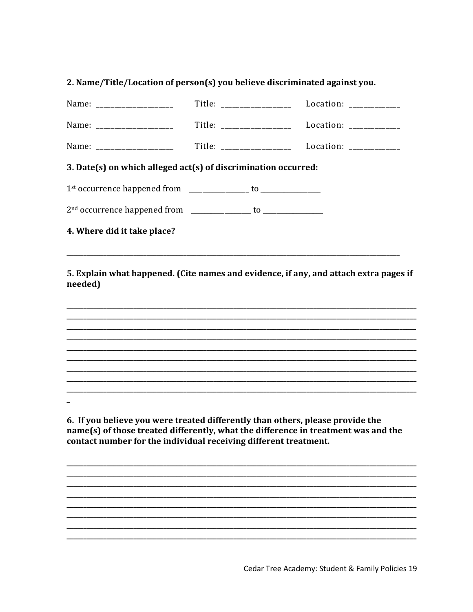# 2. Name/Title/Location of person(s) you believe discriminated against you.

| Name: ______________________                                   | Title: ___________________                         | Location: ______________ |  |  |  |  |
|----------------------------------------------------------------|----------------------------------------------------|--------------------------|--|--|--|--|
| Name: _____________________                                    | Title: __________________ Location: ____________   |                          |  |  |  |  |
| Name: ______________________                                   | Title: ___________________ Location: _____________ |                          |  |  |  |  |
| 3. Date(s) on which alleged act(s) of discrimination occurred: |                                                    |                          |  |  |  |  |
|                                                                |                                                    |                          |  |  |  |  |
|                                                                |                                                    |                          |  |  |  |  |
| 4. Where did it take place?                                    |                                                    |                          |  |  |  |  |

5. Explain what happened. (Cite names and evidence, if any, and attach extra pages if needed)

6. If you believe you were treated differently than others, please provide the name(s) of those treated differently, what the difference in treatment was and the contact number for the individual receiving different treatment.

Cedar Tree Academy: Student & Family Policies 19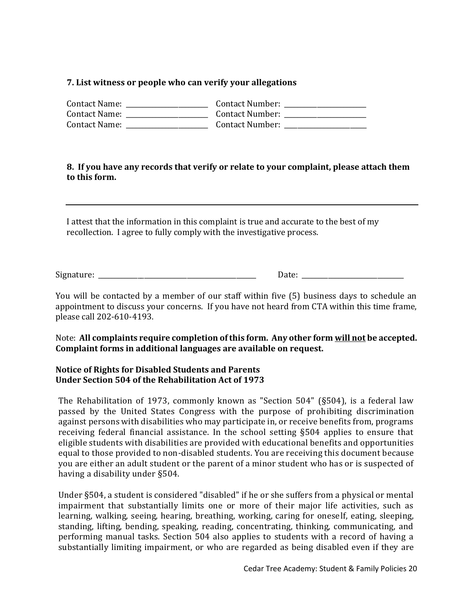## **7. List witness or people who can verify your allegations**

| Contact Name: | <b>Contact Number:</b> |
|---------------|------------------------|
| Contact Name: | <b>Contact Number:</b> |
| Contact Name: | <b>Contact Number:</b> |

## **8. If you have any records that verify or relate to your complaint, please attach them to this form.**

I attest that the information in this complaint is true and accurate to the best of my recollection. I agree to fully comply with the investigative process.

Signature: \_\_\_\_\_\_\_\_\_\_\_\_\_\_\_\_\_\_\_\_\_\_\_\_\_\_\_\_\_\_\_\_\_\_\_\_\_\_\_\_\_\_\_\_\_\_\_\_ Date: \_\_\_\_\_\_\_\_\_\_\_\_\_\_\_\_\_\_\_\_\_\_\_\_\_\_\_\_\_\_\_

You will be contacted by a member of our staff within five (5) business days to schedule an appointment to discuss your concerns. If you have not heard from CTA within this time frame, please call 202-610-4193.

## Note: **All complaints require completion of this form. Any other form will not be accepted. Complaint forms in additional languages are available on request.**

## **Notice of Rights for Disabled Students and Parents Under Section 504 of the Rehabilitation Act of 1973**

The Rehabilitation of 1973, commonly known as "Section 504" (§504), is a federal law passed by the United States Congress with the purpose of prohibiting discrimination against persons with disabilities who may participate in, or receive benefits from, programs receiving federal financial assistance. In the school setting §504 applies to ensure that eligible students with disabilities are provided with educational benefits and opportunities equal to those provided to non-disabled students. You are receiving this document because you are either an adult student or the parent of a minor student who has or is suspected of having a disability under §504.

Under §504, a student is considered "disabled" if he or she suffers from a physical or mental impairment that substantially limits one or more of their major life activities, such as learning, walking, seeing, hearing, breathing, working, caring for oneself, eating, sleeping, standing, lifting, bending, speaking, reading, concentrating, thinking, communicating, and performing manual tasks. Section 504 also applies to students with a record of having a substantially limiting impairment, or who are regarded as being disabled even if they are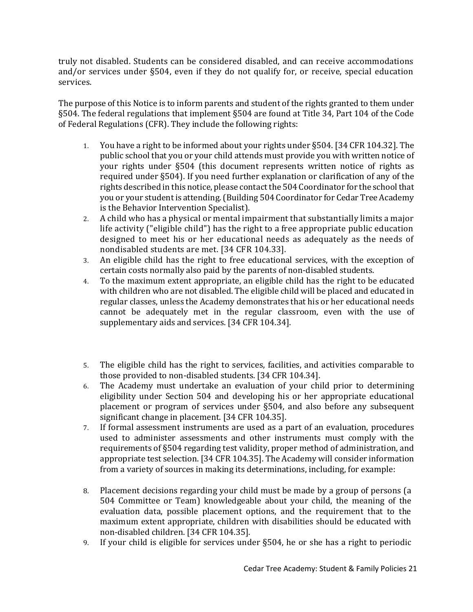truly not disabled. Students can be considered disabled, and can receive accommodations and/or services under §504, even if they do not qualify for, or receive, special education services.

The purpose of this Notice is to inform parents and student of the rights granted to them under §504. The federal regulations that implement §504 are found at Title 34, Part 104 of the Code of Federal Regulations (CFR). They include the following rights:

- 1. You have a right to be informed about your rights under §504. [34 CFR 104.32]. The public school that you or your child attends must provide you with written notice of your rights under §504 (this document represents written notice of rights as required under §504). If you need further explanation or clarification of any of the rights described in this notice, please contact the 504 Coordinator for the school that you or your student is attending. (Building 504 Coordinator for Cedar Tree Academy is the Behavior Intervention Specialist).
- 2. A child who has a physical or mental impairment that substantially limits a major life activity ("eligible child") has the right to a free appropriate public education designed to meet his or her educational needs as adequately as the needs of nondisabled students are met. [34 CFR 104.33].
- 3. An eligible child has the right to free educational services, with the exception of certain costs normally also paid by the parents of non-disabled students.
- 4. To the maximum extent appropriate, an eligible child has the right to be educated with children who are not disabled. The eligible child will be placed and educated in regular classes, unless the Academy demonstrates that his or her educational needs cannot be adequately met in the regular classroom, even with the use of supplementary aids and services. [34 CFR 104.34].
- 5. The eligible child has the right to services, facilities, and activities comparable to those provided to non-disabled students. [34 CFR 104.34].
- 6. The Academy must undertake an evaluation of your child prior to determining eligibility under Section 504 and developing his or her appropriate educational placement or program of services under §504, and also before any subsequent significant change in placement. [34 CFR 104.35].
- 7. If formal assessment instruments are used as a part of an evaluation, procedures used to administer assessments and other instruments must comply with the requirements of §504 regarding test validity, proper method of administration, and appropriate test selection. [34 CFR 104.35]. The Academy will consider information from a variety of sources in making its determinations, including, for example:
- 8. Placement decisions regarding your child must be made by a group of persons (a 504 Committee or Team) knowledgeable about your child, the meaning of the evaluation data, possible placement options, and the requirement that to the maximum extent appropriate, children with disabilities should be educated with non-disabled children. [34 CFR 104.35].
- 9. If your child is eligible for services under §504, he or she has a right to periodic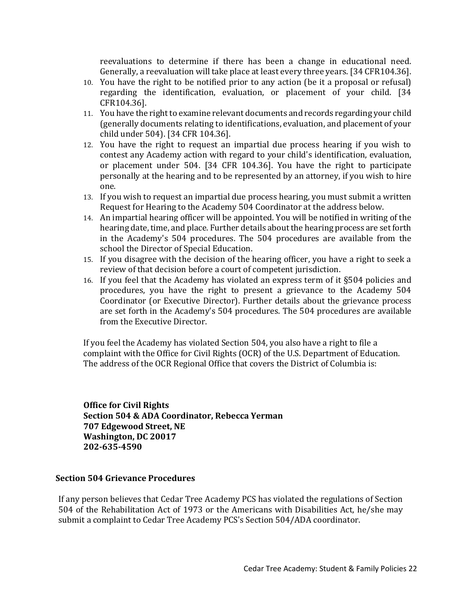reevaluations to determine if there has been a change in educational need. Generally, a reevaluation will take place at least every three years. [34 CFR104.36].

- 10. You have the right to be notified prior to any action (be it a proposal or refusal) regarding the identification, evaluation, or placement of your child. [34 CFR104.36].
- 11. You have the right to examine relevant documents and records regarding your child (generally documents relating to identifications, evaluation, and placement of your child under 504). [34 CFR 104.36].
- 12. You have the right to request an impartial due process hearing if you wish to contest any Academy action with regard to your child's identification, evaluation, or placement under 504. [34 CFR 104.36]. You have the right to participate personally at the hearing and to be represented by an attorney, if you wish to hire one.
- 13. If you wish to request an impartial due process hearing, you must submit a written Request for Hearing to the Academy 504 Coordinator at the address below.
- 14. An impartial hearing officer will be appointed. You will be notified in writing of the hearing date, time, and place. Further details about the hearing process are set forth in the Academy's 504 procedures. The 504 procedures are available from the school the Director of Special Education.
- 15. If you disagree with the decision of the hearing officer, you have a right to seek a review of that decision before a court of competent jurisdiction.
- 16. If you feel that the Academy has violated an express term of it §504 policies and procedures, you have the right to present a grievance to the Academy 504 Coordinator (or Executive Director). Further details about the grievance process are set forth in the Academy's 504 procedures. The 504 procedures are available from the Executive Director.

If you feel the Academy has violated Section 504, you also have a right to file a complaint with the Office for Civil Rights (OCR) of the U.S. Department of Education. The address of the OCR Regional Office that covers the District of Columbia is:

**Office for Civil Rights Section 504 & ADA Coordinator, Rebecca Yerman 707 Edgewood Street, NE Washington, DC 20017 202-635-4590**

## **Section 504 Grievance Procedures**

If any person believes that Cedar Tree Academy PCS has violated the regulations of Section 504 of the Rehabilitation Act of 1973 or the Americans with Disabilities Act, he/she may submit a complaint to Cedar Tree Academy PCS's Section 504/ADA coordinator.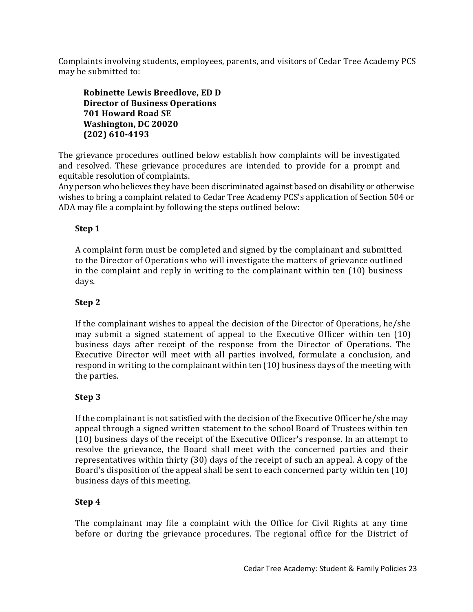Complaints involving students, employees, parents, and visitors of Cedar Tree Academy PCS may be submitted to:

**Robinette Lewis Breedlove, ED D Director of Business Operations 701 Howard Road SE Washington, DC 20020 (202) 610-4193**

The grievance procedures outlined below establish how complaints will be investigated and resolved. These grievance procedures are intended to provide for a prompt and equitable resolution of complaints.

Any person who believes they have been discriminated against based on disability or otherwise wishes to bring a complaint related to Cedar Tree Academy PCS's application of Section 504 or ADA may file a complaint by following the steps outlined below:

# **Step 1**

A complaint form must be completed and signed by the complainant and submitted to the Director of Operations who will investigate the matters of grievance outlined in the complaint and reply in writing to the complainant within ten (10) business days.

# **Step 2**

If the complainant wishes to appeal the decision of the Director of Operations, he/she may submit a signed statement of appeal to the Executive Officer within ten (10) business days after receipt of the response from the Director of Operations. The Executive Director will meet with all parties involved, formulate a conclusion, and respond in writing to the complainant within ten (10) business days of the meeting with the parties.

# **Step 3**

If the complainant is not satisfied with the decision of the Executive Officer he/she may appeal through a signed written statement to the school Board of Trustees within ten (10) business days of the receipt of the Executive Officer's response. In an attempt to resolve the grievance, the Board shall meet with the concerned parties and their representatives within thirty (30) days of the receipt of such an appeal. A copy of the Board's disposition of the appeal shall be sent to each concerned party within ten (10) business days of this meeting.

# **Step 4**

The complainant may file a complaint with the Office for Civil Rights at any time before or during the grievance procedures. The regional office for the District of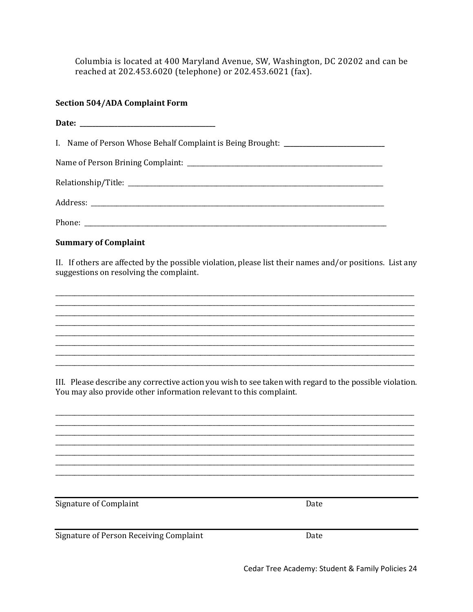Columbia is located at 400 Maryland Avenue, SW, Washington, DC 20202 and can be reached at 202.453.6020 (telephone) or 202.453.6021 (fax).

# **Section 504/ADA Complaint Form**

| I. Name of Person Whose Behalf Complaint is Being Brought: _____________________                                                                                              |  |
|-------------------------------------------------------------------------------------------------------------------------------------------------------------------------------|--|
|                                                                                                                                                                               |  |
|                                                                                                                                                                               |  |
|                                                                                                                                                                               |  |
|                                                                                                                                                                               |  |
| <b>Summary of Complaint</b>                                                                                                                                                   |  |
| II. If others are affected by the possible violation, please list their names and/or positions. List any<br>suggestions on resolving the complaint.                           |  |
|                                                                                                                                                                               |  |
| ,我们也不会有什么。""我们的人,我们也不会有什么?""我们的人,我们也不会有什么?""我们的人,我们也不会有什么?""我们的人,我们也不会有什么?""我们的人                                                                                              |  |
|                                                                                                                                                                               |  |
| III. Please describe any corrective action you wish to see taken with regard to the possible violation.<br>You may also provide other information relevant to this complaint. |  |
|                                                                                                                                                                               |  |
|                                                                                                                                                                               |  |

Signature of Complaint

Signature of Person Receiving Complaint

Date

Date

Cedar Tree Academy: Student & Family Policies 24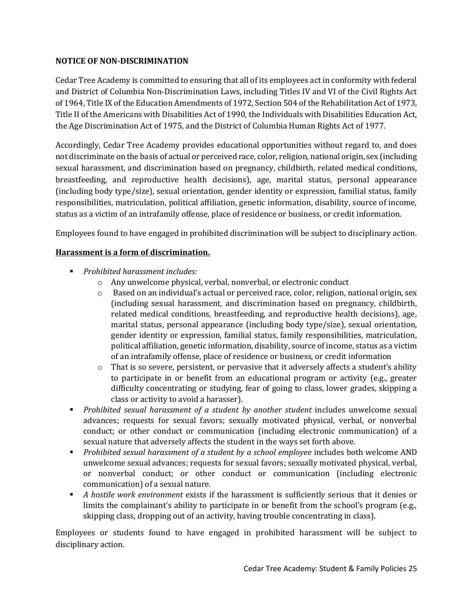## **NOTICE OF NON-DISCRIMINATION**

Cedar Tree Academy is committed to ensuring that all of its employees act in conformity with federal and District of Columbia Non-Discrimination Laws, including Titles IV and VI of the Civil Rights Act of 1964, Title IX of the Education Amendments of 1972, Section 504 of the Rehabilitation Act of 1973, Title II of the Americans with Disabilities Act of 1990, the Individuals with Disabilities Education Act, the Age Discrimination Act of 1975, and the District of Columbia Human Rights Act of 1977.

Accordingly, Cedar Tree Academy provides educational opportunities without regard to, and does not discriminate on the basis of actual or perceived race, color, religion, national origin, sex (including sexual harassment, and discrimination based on pregnancy, childbirth, related medical conditions, breastfeeding, and reproductive health decisions), age, marital status, personal appearance (including body type/size), sexual orientation, gender identity or expression, familial status, family responsibilities, matriculation, political affiliation, genetic information, disability, source of income, status as a victim of an intrafamily offense, place of residence or business, or credit information.

Employees found to have engaged in prohibited discrimination will be subject to disciplinary action.

## **Harassment is a form of discrimination.**

- *Prohibited harassment includes:*
	- o Any unwelcome physical, verbal, nonverbal, or electronic conduct
	- o Based on an individual's actual or perceived race, color, religion, national origin, sex (including sexual harassment, and discrimination based on pregnancy, childbirth, related medical conditions, breastfeeding, and reproductive health decisions), age, marital status, personal appearance (including body type/size), sexual orientation, gender identity or expression, familial status, family responsibilities, matriculation, political affiliation, genetic information, disability, source of income, status as a victim of an intrafamily offense, place of residence or business, or credit information
	- $\circ$  That is so severe, persistent, or pervasive that it adversely affects a student's ability to participate in or benefit from an educational program or activity (e.g., greater difficulty concentrating or studying, fear of going to class, lower grades, skipping a class or activity to avoid a harasser).
- *Prohibited sexual harassment of a student by another student* includes unwelcome sexual advances; requests for sexual favors; sexually motivated physical, verbal, or nonverbal conduct; or other conduct or communication (including electronic communication) of a sexual nature that adversely affects the student in the ways set forth above.
- *Prohibited sexual harassment of a student by a school employee* includes both welcome AND unwelcome sexual advances; requests for sexual favors; sexually motivated physical, verbal, or nonverbal conduct; or other conduct or communication (including electronic communication) of a sexual nature.
- *A hostile work environment* exists if the harassment is sufficiently serious that it denies or limits the complainant's ability to participate in or benefit from the school's program (e.g., skipping class, dropping out of an activity, having trouble concentrating in class).

Employees or students found to have engaged in prohibited harassment will be subject to disciplinary action.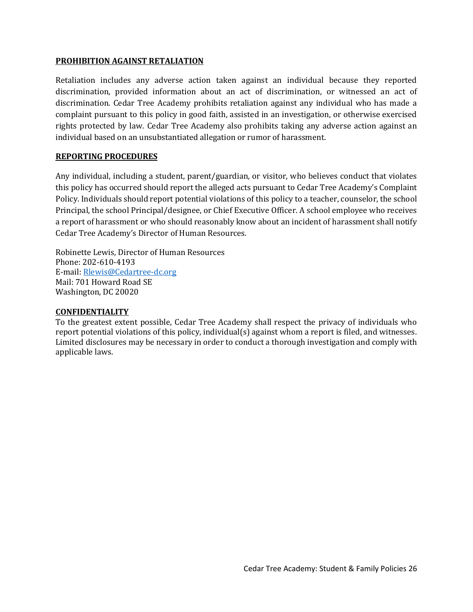#### **PROHIBITION AGAINST RETALIATION**

Retaliation includes any adverse action taken against an individual because they reported discrimination, provided information about an act of discrimination, or witnessed an act of discrimination. Cedar Tree Academy prohibits retaliation against any individual who has made a complaint pursuant to this policy in good faith, assisted in an investigation, or otherwise exercised rights protected by law. Cedar Tree Academy also prohibits taking any adverse action against an individual based on an unsubstantiated allegation or rumor of harassment.

## **REPORTING PROCEDURES**

Any individual, including a student, parent/guardian, or visitor, who believes conduct that violates this policy has occurred should report the alleged acts pursuant to Cedar Tree Academy's Complaint Policy. Individuals should report potential violations of this policy to a teacher, counselor, the school Principal, the school Principal/designee, or Chief Executive Officer. A school employee who receives a report of harassment or who should reasonably know about an incident of harassment shall notify Cedar Tree Academy's Director of Human Resources.

Robinette Lewis, Director of Human Resources Phone: 202-610-4193 E-mail: [Rlewis@Cedartree-dc.org](mailto:Rlewis@Cedartree-dc.org) Mail: 701 Howard Road SE Washington, DC 20020

#### **CONFIDENTIALITY**

To the greatest extent possible, Cedar Tree Academy shall respect the privacy of individuals who report potential violations of this policy, individual(s) against whom a report is filed, and witnesses. Limited disclosures may be necessary in order to conduct a thorough investigation and comply with applicable laws.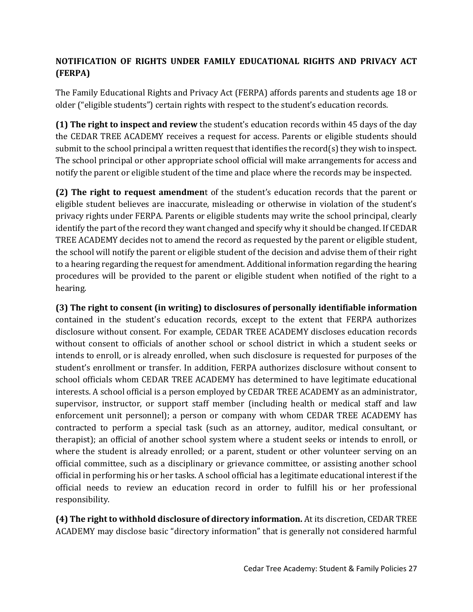# **NOTIFICATION OF RIGHTS UNDER FAMILY EDUCATIONAL RIGHTS AND PRIVACY ACT (FERPA)**

The Family Educational Rights and Privacy Act (FERPA) affords parents and students age 18 or older ("eligible students") certain rights with respect to the student's education records.

**(1) The right to inspect and review** the student's education records within 45 days of the day the CEDAR TREE ACADEMY receives a request for access. Parents or eligible students should submit to the school principal a written request that identifies the record(s) they wish to inspect. The school principal or other appropriate school official will make arrangements for access and notify the parent or eligible student of the time and place where the records may be inspected.

**(2) The right to request amendmen**t of the student's education records that the parent or eligible student believes are inaccurate, misleading or otherwise in violation of the student's privacy rights under FERPA. Parents or eligible students may write the school principal, clearly identify the part of the record they want changed and specify why it should be changed. If CEDAR TREE ACADEMY decides not to amend the record as requested by the parent or eligible student, the school will notify the parent or eligible student of the decision and advise them of their right to a hearing regarding the request for amendment. Additional information regarding the hearing procedures will be provided to the parent or eligible student when notified of the right to a hearing.

**(3) The right to consent (in writing) to disclosures of personally identifiable information** contained in the student's education records, except to the extent that FERPA authorizes disclosure without consent. For example, CEDAR TREE ACADEMY discloses education records without consent to officials of another school or school district in which a student seeks or intends to enroll, or is already enrolled, when such disclosure is requested for purposes of the student's enrollment or transfer. In addition, FERPA authorizes disclosure without consent to school officials whom CEDAR TREE ACADEMY has determined to have legitimate educational interests. A school official is a person employed by CEDAR TREE ACADEMY as an administrator, supervisor, instructor, or support staff member (including health or medical staff and law enforcement unit personnel); a person or company with whom CEDAR TREE ACADEMY has contracted to perform a special task (such as an attorney, auditor, medical consultant, or therapist); an official of another school system where a student seeks or intends to enroll, or where the student is already enrolled; or a parent, student or other volunteer serving on an official committee, such as a disciplinary or grievance committee, or assisting another school official in performing his or her tasks. A school official has a legitimate educational interest if the official needs to review an education record in order to fulfill his or her professional responsibility.

**(4) The right to withhold disclosure of directory information.** At its discretion, CEDAR TREE ACADEMY may disclose basic "directory information" that is generally not considered harmful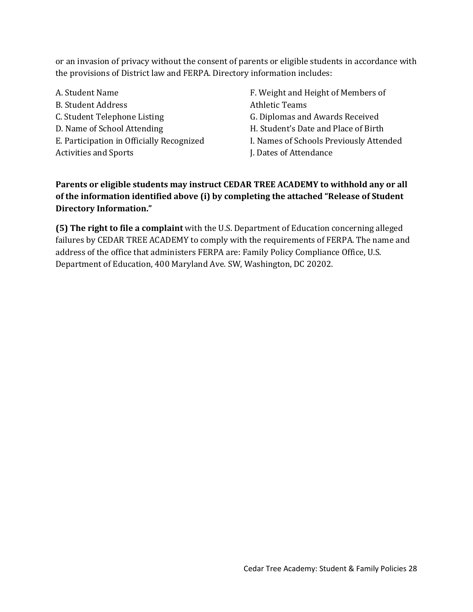or an invasion of privacy without the consent of parents or eligible students in accordance with the provisions of District law and FERPA. Directory information includes:

- A. Student Name B. Student Address C. Student Telephone Listing D. Name of School Attending E. Participation in Officially Recognized Activities and Sports
- F. Weight and Height of Members of Athletic Teams
- G. Diplomas and Awards Received
- H. Student's Date and Place of Birth
- I. Names of Schools Previously Attended
- J. Dates of Attendance

# **Parents or eligible students may instruct CEDAR TREE ACADEMY to withhold any or all of the information identified above (i) by completing the attached "Release of Student Directory Information."**

**(5) The right to file a complaint** with the U.S. Department of Education concerning alleged failures by CEDAR TREE ACADEMY to comply with the requirements of FERPA. The name and address of the office that administers FERPA are: Family Policy Compliance Office, U.S. Department of Education, 400 Maryland Ave. SW, Washington, DC 20202.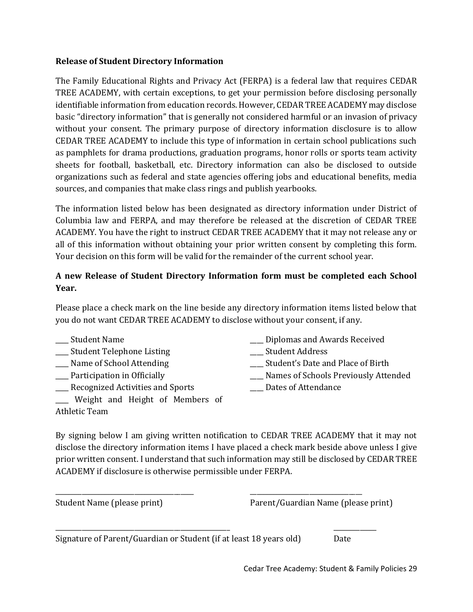## **Release of Student Directory Information**

The Family Educational Rights and Privacy Act (FERPA) is a federal law that requires CEDAR TREE ACADEMY, with certain exceptions, to get your permission before disclosing personally identifiable information from education records. However, CEDAR TREE ACADEMY may disclose basic "directory information" that is generally not considered harmful or an invasion of privacy without your consent. The primary purpose of directory information disclosure is to allow CEDAR TREE ACADEMY to include this type of information in certain school publications such as pamphlets for drama productions, graduation programs, honor rolls or sports team activity sheets for football, basketball, etc. Directory information can also be disclosed to outside organizations such as federal and state agencies offering jobs and educational benefits, media sources, and companies that make class rings and publish yearbooks.

The information listed below has been designated as directory information under District of Columbia law and FERPA, and may therefore be released at the discretion of CEDAR TREE ACADEMY. You have the right to instruct CEDAR TREE ACADEMY that it may not release any or all of this information without obtaining your prior written consent by completing this form. Your decision on this form will be valid for the remainder of the current school year.

# **A new Release of Student Directory Information form must be completed each School Year.**

Please place a check mark on the line beside any directory information items listed below that you do not want CEDAR TREE ACADEMY to disclose without your consent, if any.

\_\_\_\_ Student Name

Athletic Team

- \_\_\_\_ Student Telephone Listing
- \_\_\_\_ Name of School Attending
- \_\_\_\_ Participation in Officially
- \_\_\_\_ Recognized Activities and Sports

\_\_\_\_ Weight and Height of Members of

- \_\_\_\_ Diplomas and Awards Received
- \_\_\_\_ Student Address
- \_\_\_\_ Student's Date and Place of Birth
- \_\_\_\_ Names of Schools Previously Attended
- \_\_\_\_ Dates of Attendance

By signing below I am giving written notification to CEDAR TREE ACADEMY that it may not disclose the directory information items I have placed a check mark beside above unless I give prior written consent. I understand that such information may still be disclosed by CEDAR TREE ACADEMY if disclosure is otherwise permissible under FERPA.

\_\_\_\_\_\_\_\_\_\_\_\_\_\_\_\_\_\_\_\_\_\_\_\_\_\_\_\_\_\_\_\_\_\_\_\_\_\_\_\_\_\_ \_\_\_\_\_\_\_\_\_\_\_\_\_\_\_\_\_\_\_\_\_\_\_\_\_\_\_\_\_\_\_\_\_\_

\_\_\_\_\_\_\_\_\_\_\_\_\_\_\_\_\_\_\_\_\_\_\_\_\_\_\_\_\_\_\_\_\_\_\_\_\_\_\_\_\_\_\_\_\_\_\_\_\_\_\_\_\_ \_\_\_\_\_\_\_\_\_\_\_\_\_

Student Name (please print) Parent/Guardian Name (please print)

Signature of Parent/Guardian or Student (if at least 18 years old) Date

Cedar Tree Academy: Student & Family Policies 29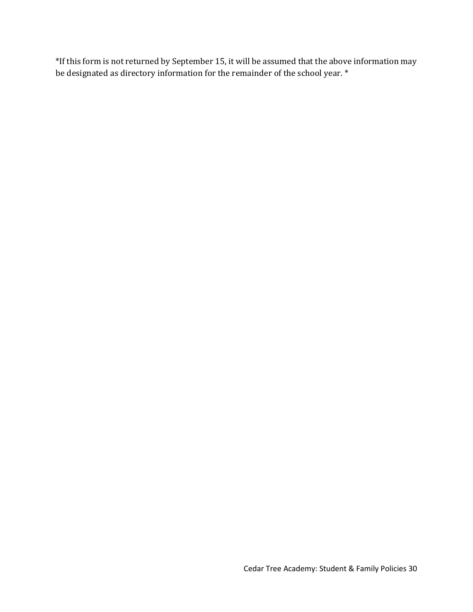\*If this form is not returned by September 15, it will be assumed that the above information may be designated as directory information for the remainder of the school year. \*